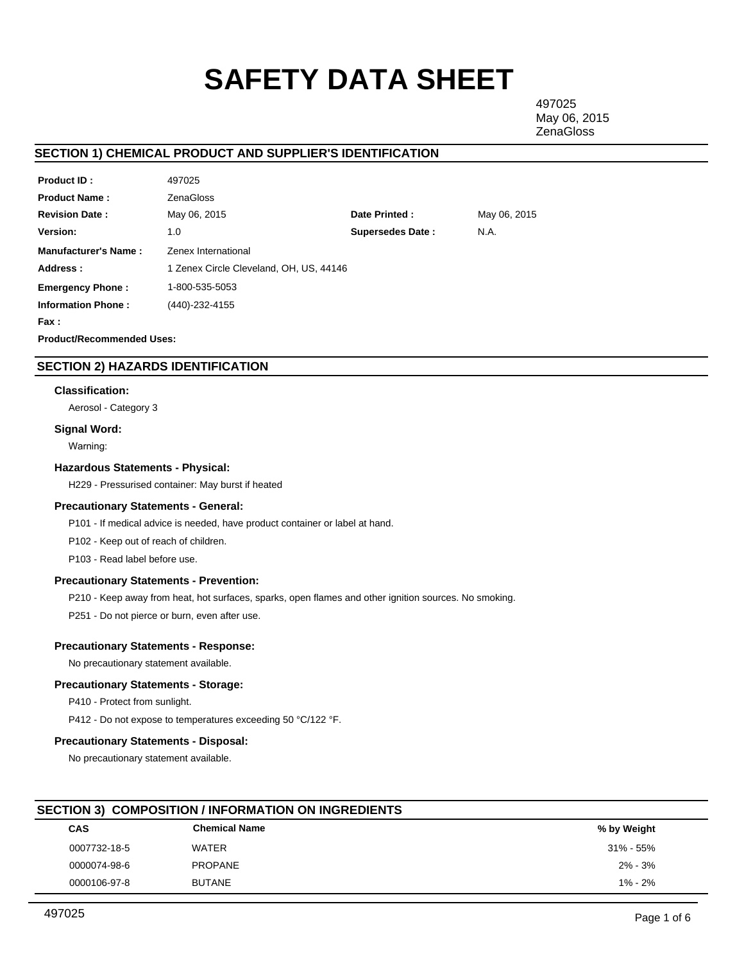# **SAFETY DATA SHEET**

497025 May 06, 2015 **ZenaGloss** 

# **SECTION 1) CHEMICAL PRODUCT AND SUPPLIER'S IDENTIFICATION**

| <b>Product ID:</b>          | 497025                                  |                         |              |
|-----------------------------|-----------------------------------------|-------------------------|--------------|
| <b>Product Name:</b>        | <b>ZenaGloss</b>                        |                         |              |
| <b>Revision Date:</b>       | May 06, 2015                            | Date Printed:           | May 06, 2015 |
| <b>Version:</b>             | 1.0                                     | <b>Supersedes Date:</b> | N.A.         |
| <b>Manufacturer's Name:</b> | Zenex International                     |                         |              |
| Address:                    | 1 Zenex Circle Cleveland, OH, US, 44146 |                         |              |
| <b>Emergency Phone:</b>     | 1-800-535-5053                          |                         |              |
| <b>Information Phone:</b>   | (440)-232-4155                          |                         |              |
| Fax:                        |                                         |                         |              |
|                             |                                         |                         |              |

**Product/Recommended Uses:** 

# **SECTION 2) HAZARDS IDENTIFICATION**

## **Classification:**

Aerosol - Category 3

## **Signal Word:**

Warning:

## **Hazardous Statements - Physical:**

H229 - Pressurised container: May burst if heated

## **Precautionary Statements - General:**

P101 - If medical advice is needed, have product container or label at hand.

P102 - Keep out of reach of children.

P103 - Read label before use.

## **Precautionary Statements - Prevention:**

P210 - Keep away from heat, hot surfaces, sparks, open flames and other ignition sources. No smoking.

P251 - Do not pierce or burn, even after use.

## **Precautionary Statements - Response:**

No precautionary statement available.

## **Precautionary Statements - Storage:**

P410 - Protect from sunlight.

P412 - Do not expose to temperatures exceeding 50 °C/122 °F.

## **Precautionary Statements - Disposal:**

No precautionary statement available.

# **SECTION 3) COMPOSITION / INFORMATION ON INGREDIENTS**

| <b>CAS</b>   | <b>Chemical Name</b> | % by Weight   |  |
|--------------|----------------------|---------------|--|
| 0007732-18-5 | WATER                | $31\% - 55\%$ |  |
| 0000074-98-6 | PROPANE              | $2\% - 3\%$   |  |
| 0000106-97-8 | <b>BUTANE</b>        | $1\% - 2\%$   |  |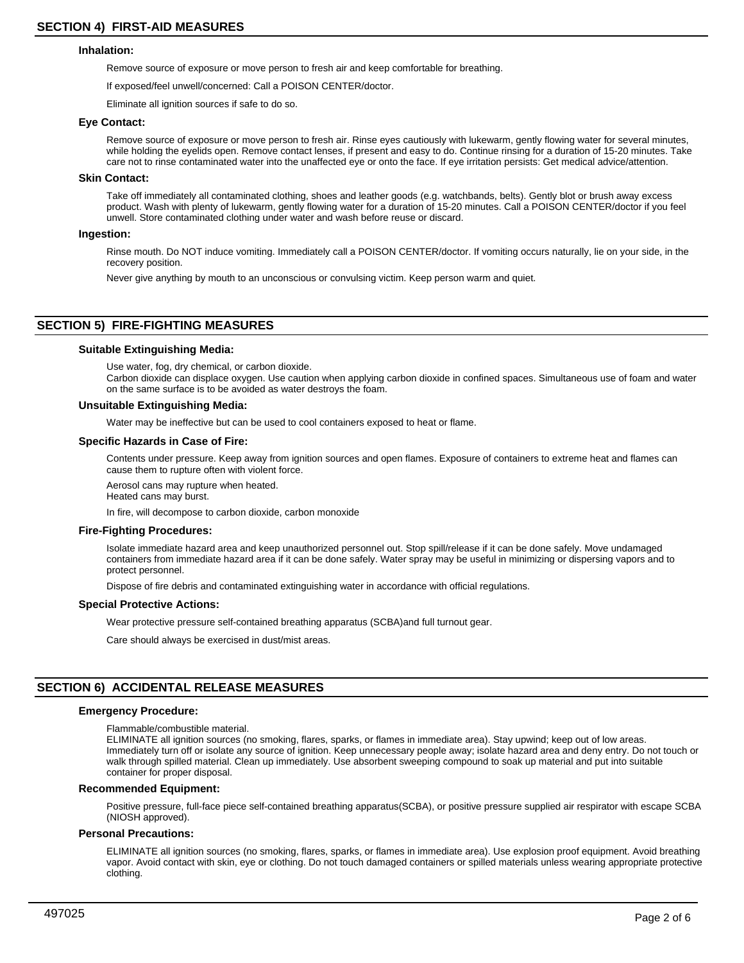#### **Inhalation:**

Remove source of exposure or move person to fresh air and keep comfortable for breathing.

If exposed/feel unwell/concerned: Call a POISON CENTER/doctor.

Eliminate all ignition sources if safe to do so.

#### **Eye Contact:**

Remove source of exposure or move person to fresh air. Rinse eyes cautiously with lukewarm, gently flowing water for several minutes, while holding the eyelids open. Remove contact lenses, if present and easy to do. Continue rinsing for a duration of 15-20 minutes. Take care not to rinse contaminated water into the unaffected eye or onto the face. If eye irritation persists: Get medical advice/attention.

#### **Skin Contact:**

Take off immediately all contaminated clothing, shoes and leather goods (e.g. watchbands, belts). Gently blot or brush away excess product. Wash with plenty of lukewarm, gently flowing water for a duration of 15-20 minutes. Call a POISON CENTER/doctor if you feel unwell. Store contaminated clothing under water and wash before reuse or discard.

## **Ingestion:**

Rinse mouth. Do NOT induce vomiting. Immediately call a POISON CENTER/doctor. If vomiting occurs naturally, lie on your side, in the recovery position.

Never give anything by mouth to an unconscious or convulsing victim. Keep person warm and quiet.

## **SECTION 5) FIRE-FIGHTING MEASURES**

## **Suitable Extinguishing Media:**

Use water, fog, dry chemical, or carbon dioxide. Carbon dioxide can displace oxygen. Use caution when applying carbon dioxide in confined spaces. Simultaneous use of foam and water on the same surface is to be avoided as water destroys the foam.

## **Unsuitable Extinguishing Media:**

Water may be ineffective but can be used to cool containers exposed to heat or flame.

#### **Specific Hazards in Case of Fire:**

Contents under pressure. Keep away from ignition sources and open flames. Exposure of containers to extreme heat and flames can cause them to rupture often with violent force.

Aerosol cans may rupture when heated. Heated cans may burst.

In fire, will decompose to carbon dioxide, carbon monoxide

#### **Fire-Fighting Procedures:**

Isolate immediate hazard area and keep unauthorized personnel out. Stop spill/release if it can be done safely. Move undamaged containers from immediate hazard area if it can be done safely. Water spray may be useful in minimizing or dispersing vapors and to protect personnel.

Dispose of fire debris and contaminated extinguishing water in accordance with official regulations.

#### **Special Protective Actions:**

Wear protective pressure self-contained breathing apparatus (SCBA)and full turnout gear.

Care should always be exercised in dust/mist areas.

## **SECTION 6) ACCIDENTAL RELEASE MEASURES**

#### **Emergency Procedure:**

Flammable/combustible material.

ELIMINATE all ignition sources (no smoking, flares, sparks, or flames in immediate area). Stay upwind; keep out of low areas. Immediately turn off or isolate any source of ignition. Keep unnecessary people away; isolate hazard area and deny entry. Do not touch or walk through spilled material. Clean up immediately. Use absorbent sweeping compound to soak up material and put into suitable container for proper disposal.

## **Recommended Equipment:**

Positive pressure, full-face piece self-contained breathing apparatus(SCBA), or positive pressure supplied air respirator with escape SCBA (NIOSH approved).

## **Personal Precautions:**

ELIMINATE all ignition sources (no smoking, flares, sparks, or flames in immediate area). Use explosion proof equipment. Avoid breathing vapor. Avoid contact with skin, eye or clothing. Do not touch damaged containers or spilled materials unless wearing appropriate protective clothing.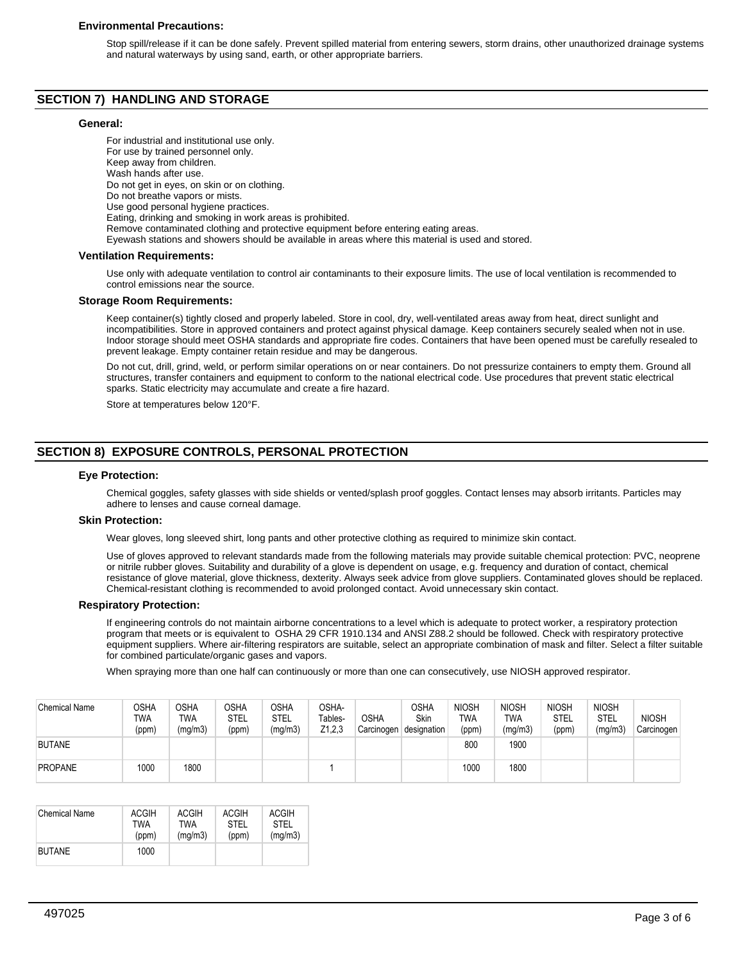## **Environmental Precautions:**

Stop spill/release if it can be done safely. Prevent spilled material from entering sewers, storm drains, other unauthorized drainage systems and natural waterways by using sand, earth, or other appropriate barriers.

## **SECTION 7) HANDLING AND STORAGE**

#### **General:**

For industrial and institutional use only. For use by trained personnel only. Keep away from children. Wash hands after use. Do not get in eyes, on skin or on clothing. Do not breathe vapors or mists. Use good personal hygiene practices. Eating, drinking and smoking in work areas is prohibited. Remove contaminated clothing and protective equipment before entering eating areas. Eyewash stations and showers should be available in areas where this material is used and stored. **Ventilation Requirements:**

#### Use only with adequate ventilation to control air contaminants to their exposure limits. The use of local ventilation is recommended to control emissions near the source.

## **Storage Room Requirements:**

Keep container(s) tightly closed and properly labeled. Store in cool, dry, well-ventilated areas away from heat, direct sunlight and incompatibilities. Store in approved containers and protect against physical damage. Keep containers securely sealed when not in use. Indoor storage should meet OSHA standards and appropriate fire codes. Containers that have been opened must be carefully resealed to prevent leakage. Empty container retain residue and may be dangerous.

Do not cut, drill, grind, weld, or perform similar operations on or near containers. Do not pressurize containers to empty them. Ground all structures, transfer containers and equipment to conform to the national electrical code. Use procedures that prevent static electrical sparks. Static electricity may accumulate and create a fire hazard.

Store at temperatures below 120°F.

# **SECTION 8) EXPOSURE CONTROLS, PERSONAL PROTECTION**

## **Eye Protection:**

Chemical goggles, safety glasses with side shields or vented/splash proof goggles. Contact lenses may absorb irritants. Particles may adhere to lenses and cause corneal damage.

## **Skin Protection:**

Wear gloves, long sleeved shirt, long pants and other protective clothing as required to minimize skin contact.

Use of gloves approved to relevant standards made from the following materials may provide suitable chemical protection: PVC, neoprene or nitrile rubber gloves. Suitability and durability of a glove is dependent on usage, e.g. frequency and duration of contact, chemical resistance of glove material, glove thickness, dexterity. Always seek advice from glove suppliers. Contaminated gloves should be replaced. Chemical-resistant clothing is recommended to avoid prolonged contact. Avoid unnecessary skin contact.

## **Respiratory Protection:**

If engineering controls do not maintain airborne concentrations to a level which is adequate to protect worker, a respiratory protection program that meets or is equivalent to OSHA 29 CFR 1910.134 and ANSI Z88.2 should be followed. Check with respiratory protective equipment suppliers. Where air-filtering respirators are suitable, select an appropriate combination of mask and filter. Select a filter suitable for combined particulate/organic gases and vapors.

When spraying more than one half can continuously or more than one can consecutively, use NIOSH approved respirator.

| <b>Chemical Name</b> | OSHA<br>TWA<br>(ppm) | <b>OSHA</b><br>TWA<br>(mg/m3) | <b>OSHA</b><br><b>STEL</b><br>(ppm) | OSHA<br>STEL<br>(mg/m3) | OSHA-<br>Tables-<br>Z1,2,3 | <b>OSHA</b><br>Carcinogen | OSHA<br><b>Skin</b><br>designation | <b>NIOSH</b><br><b>TWA</b><br>(ppm) | <b>NIOSH</b><br>TWA<br>(mg/m3) | <b>NIOSH</b><br>STEL<br>(ppm) | <b>NIOSH</b><br><b>STEL</b><br>(mg/m3) | <b>NIOSH</b><br>Carcinogen |
|----------------------|----------------------|-------------------------------|-------------------------------------|-------------------------|----------------------------|---------------------------|------------------------------------|-------------------------------------|--------------------------------|-------------------------------|----------------------------------------|----------------------------|
| <b>BUTANE</b>        |                      |                               |                                     |                         |                            |                           |                                    | 800                                 | 1900                           |                               |                                        |                            |
| <b>PROPANE</b>       | 1000                 | 1800                          |                                     |                         |                            |                           |                                    | 1000                                | 1800                           |                               |                                        |                            |

| <b>Chemical Name</b> | <b>ACGIH</b> | ACGIH   | <b>ACGIH</b> | ACGIH   |
|----------------------|--------------|---------|--------------|---------|
|                      | TWA          | TWA     | <b>STEL</b>  | STFI    |
|                      | (ppm)        | (mq/m3) | (ppm)        | (mg/m3) |
| <b>BUTANE</b>        | 1000         |         |              |         |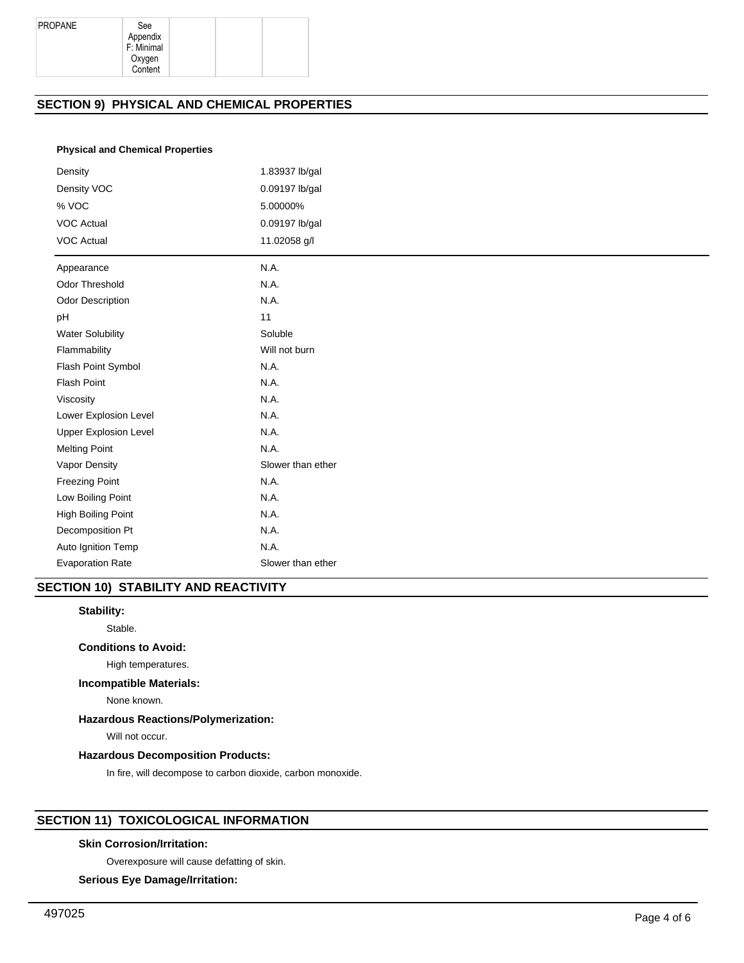Appendix F: Minimal Oxygen Content

# **SECTION 9) PHYSICAL AND CHEMICAL PROPERTIES**

## **Physical and Chemical Properties**

| Density                      | 1.83937 lb/gal    |
|------------------------------|-------------------|
| Density VOC                  | 0.09197 lb/gal    |
| % VOC                        | 5.00000%          |
| <b>VOC Actual</b>            | 0.09197 lb/gal    |
| <b>VOC Actual</b>            | 11.02058 g/l      |
| Appearance                   | N.A.              |
| <b>Odor Threshold</b>        | N.A.              |
| <b>Odor Description</b>      | N.A.              |
| pH                           | 11                |
| <b>Water Solubility</b>      | Soluble           |
| Flammability                 | Will not burn     |
| Flash Point Symbol           | N.A.              |
| Flash Point                  | N.A.              |
| Viscosity                    | N.A.              |
| Lower Explosion Level        | N.A.              |
| <b>Upper Explosion Level</b> | N.A.              |
| <b>Melting Point</b>         | N.A.              |
| Vapor Density                | Slower than ether |
| <b>Freezing Point</b>        | N.A.              |
| Low Boiling Point            | N.A.              |
| High Boiling Point           | N.A.              |
| Decomposition Pt             | N.A.              |
| Auto Ignition Temp           | N.A.              |
| <b>Evaporation Rate</b>      | Slower than ether |

# **SECTION 10) STABILITY AND REACTIVITY**

## **Stability:**

Stable.

## **Conditions to Avoid:**

High temperatures.

# **Incompatible Materials:**

None known.

# **Hazardous Reactions/Polymerization:**

Will not occur.

# **Hazardous Decomposition Products:**

In fire, will decompose to carbon dioxide, carbon monoxide.

# **SECTION 11) TOXICOLOGICAL INFORMATION**

## **Skin Corrosion/Irritation:**

Overexposure will cause defatting of skin.

## **Serious Eye Damage/Irritation:**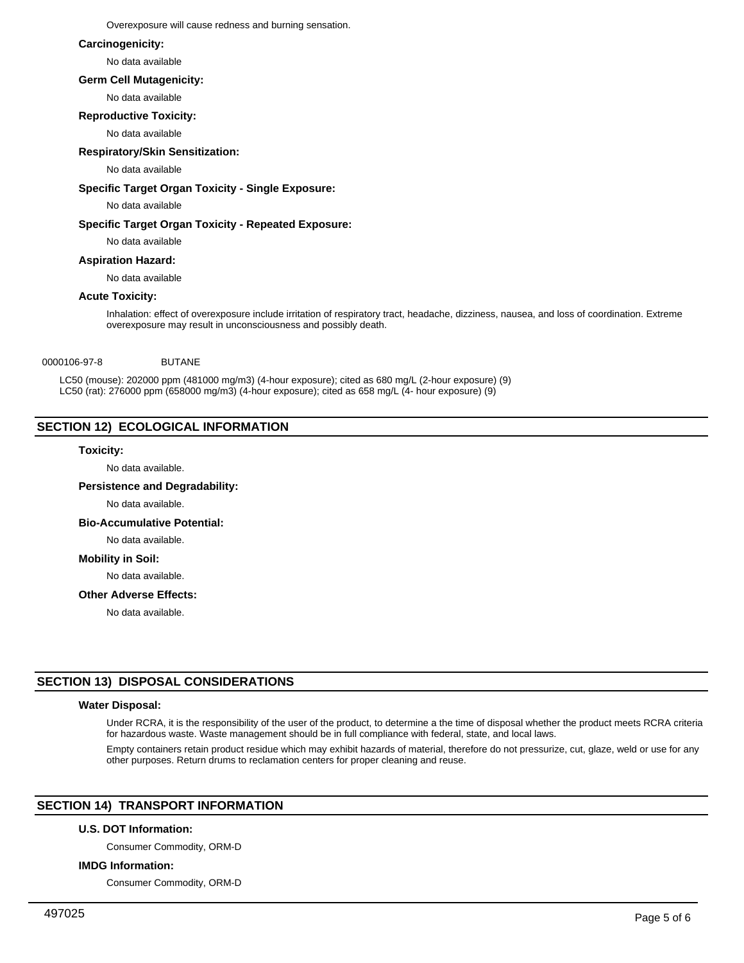Overexposure will cause redness and burning sensation.

## **Carcinogenicity:**

No data available

## **Germ Cell Mutagenicity:**

No data available

## **Reproductive Toxicity:**

No data available

## **Respiratory/Skin Sensitization:**

## No data available

## **Specific Target Organ Toxicity - Single Exposure:**

No data available

## **Specific Target Organ Toxicity - Repeated Exposure:**

No data available

## **Aspiration Hazard:**

No data available

## **Acute Toxicity:**

Inhalation: effect of overexposure include irritation of respiratory tract, headache, dizziness, nausea, and loss of coordination. Extreme overexposure may result in unconsciousness and possibly death.

## 0000106-97-8 BUTANE

LC50 (mouse): 202000 ppm (481000 mg/m3) (4-hour exposure); cited as 680 mg/L (2-hour exposure) (9) LC50 (rat): 276000 ppm (658000 mg/m3) (4-hour exposure); cited as 658 mg/L (4- hour exposure) (9)

## **SECTION 12) ECOLOGICAL INFORMATION**

## **Toxicity:**

No data available.

## **Persistence and Degradability:**

No data available.

#### **Bio-Accumulative Potential:**

No data available.

# **Mobility in Soil:**

No data available.

## **Other Adverse Effects:**

No data available.

# **SECTION 13) DISPOSAL CONSIDERATIONS**

#### **Water Disposal:**

Under RCRA, it is the responsibility of the user of the product, to determine a the time of disposal whether the product meets RCRA criteria for hazardous waste. Waste management should be in full compliance with federal, state, and local laws.

Empty containers retain product residue which may exhibit hazards of material, therefore do not pressurize, cut, glaze, weld or use for any other purposes. Return drums to reclamation centers for proper cleaning and reuse.

## **SECTION 14) TRANSPORT INFORMATION**

## **U.S. DOT Information:**

Consumer Commodity, ORM-D

#### **IMDG Information:**

Consumer Commodity, ORM-D